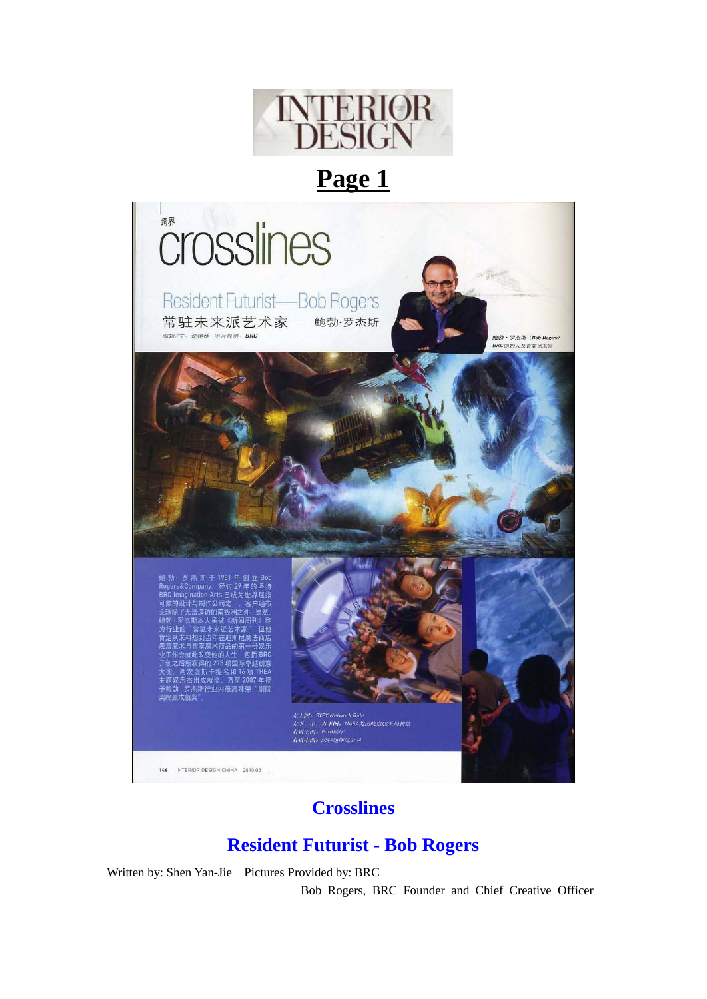

# **Page 1**



## **Crosslines**

## **Resident Futurist - Bob Rogers**

Written by: Shen Yan-Jie Pictures Provided by: BRC

Bob Rogers, BRC Founder and Chief Creative Officer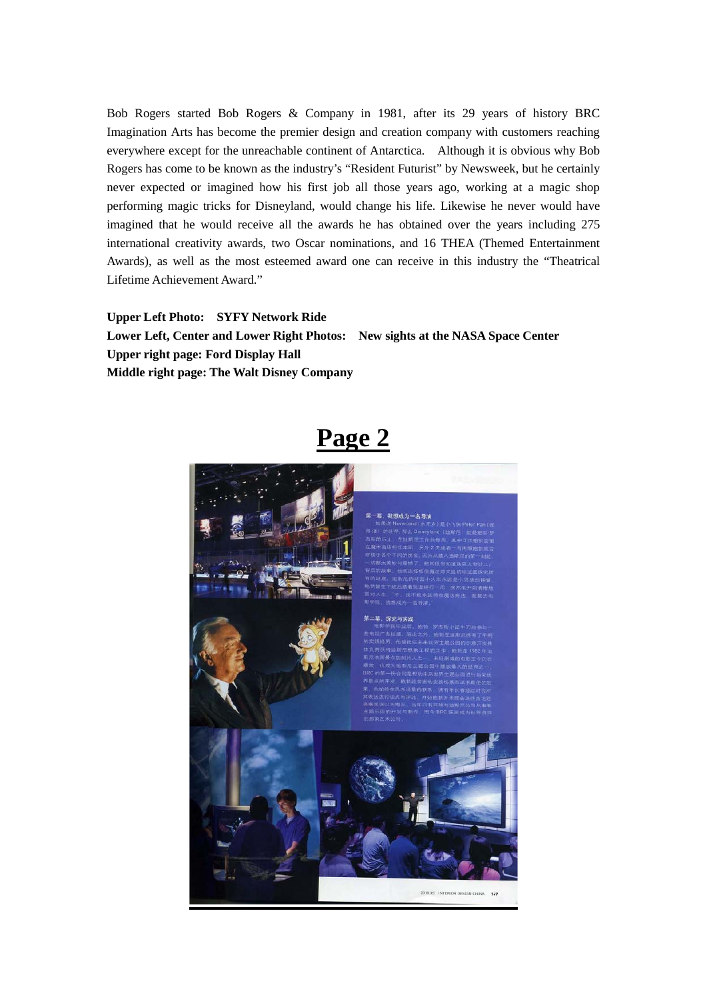Bob Rogers started Bob Rogers & Company in 1981, after its 29 years of history BRC Imagination Arts has become the premier design and creation company with customers reaching everywhere except for the unreachable continent of Antarctica. Although it is obvious why Bob Rogers has come to be known as the industry's "Resident Futurist" by Newsweek, but he certainly never expected or imagined how his first job all those years ago, working at a magic shop performing magic tricks for Disneyland, would change his life. Likewise he never would have imagined that he would receive all the awards he has obtained over the years including 275 international creativity awards, two Oscar nominations, and 16 THEA (Themed Entertainment Awards), as well as the most esteemed award one can receive in this industry the "Theatrical Lifetime Achievement Award."

**Upper Left Photo: SYFY Network Ride Lower Left, Center and Lower Right Photos: New sights at the NASA Space Center Upper right page: Ford Display Hall Middle right page: The Walt Disney Company**

## **Page 2**

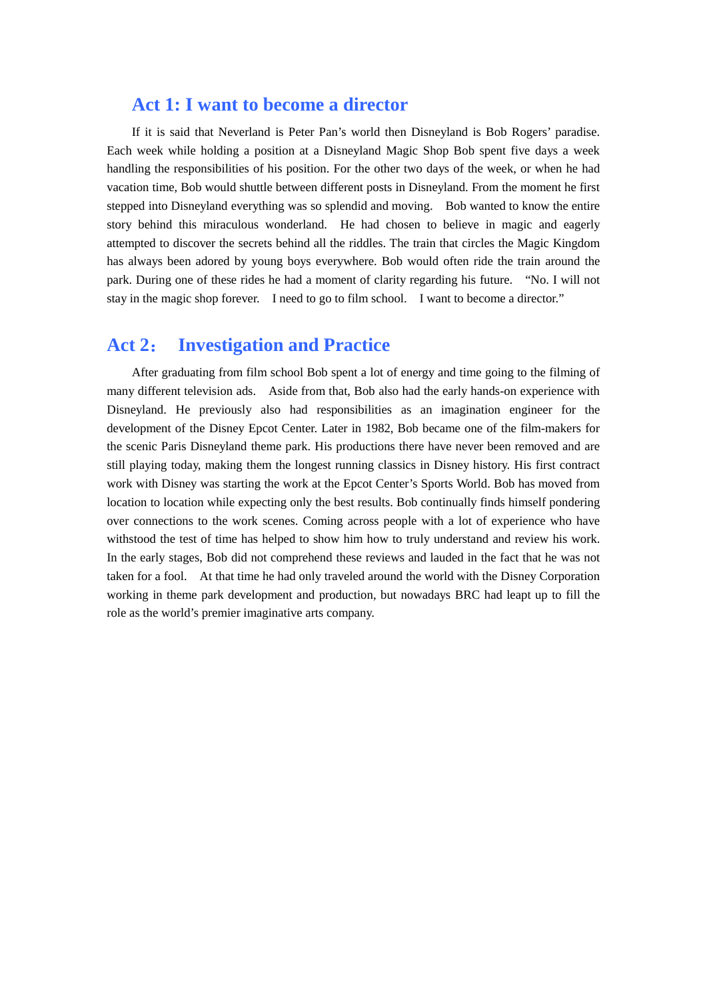#### **Act 1: I want to become a director**

If it is said that Neverland is Peter Pan's world then Disneyland is Bob Rogers' paradise. Each week while holding a position at a Disneyland Magic Shop Bob spent five days a week handling the responsibilities of his position. For the other two days of the week, or when he had vacation time, Bob would shuttle between different posts in Disneyland. From the moment he first stepped into Disneyland everything was so splendid and moving. Bob wanted to know the entire story behind this miraculous wonderland. He had chosen to believe in magic and eagerly attempted to discover the secrets behind all the riddles. The train that circles the Magic Kingdom has always been adored by young boys everywhere. Bob would often ride the train around the park. During one of these rides he had a moment of clarity regarding his future. "No. I will not stay in the magic shop forever. I need to go to film school. I want to become a director."

#### **Act 2**: **Investigation and Practice**

After graduating from film school Bob spent a lot of energy and time going to the filming of many different television ads. Aside from that, Bob also had the early hands-on experience with Disneyland. He previously also had responsibilities as an imagination engineer for the development of the Disney Epcot Center. Later in 1982, Bob became one of the film-makers for the scenic Paris Disneyland theme park. His productions there have never been removed and are still playing today, making them the longest running classics in Disney history. His first contract work with Disney was starting the work at the Epcot Center's Sports World. Bob has moved from location to location while expecting only the best results. Bob continually finds himself pondering over connections to the work scenes. Coming across people with a lot of experience who have withstood the test of time has helped to show him how to truly understand and review his work. In the early stages, Bob did not comprehend these reviews and lauded in the fact that he was not taken for a fool. At that time he had only traveled around the world with the Disney Corporation working in theme park development and production, but nowadays BRC had leapt up to fill the role as the world's premier imaginative arts company.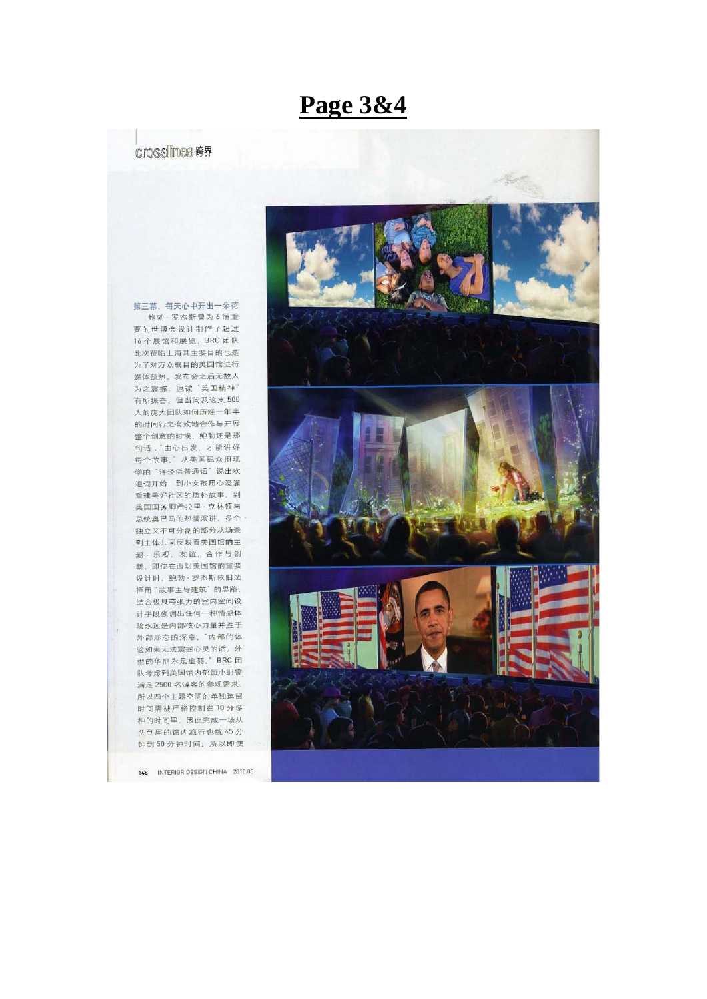## **Page 3&4**

#### crosslines 跨界

第三幕, 每天心中开出一朵花 鲍勃·罗杰斯曾为6届重 要的世博会设计制作了超过 16个展馆和展览, BRC团队 此次莅临上海其主要目的也是 为了对万众瞩目的美国馆进行 媒体预热、发布会之后无数人 为之震撼,也被"美国精神" 有所振奋,但当问及这支500 人的庞大团队如何历经一年半 的时间行之有效地合作与开展 整个创意的时候,鲍勃还是那 句话:'由心出发,才能讲好 每个故事。"从美国民众用现 学的"洋泾浜普通话"说出欢 迎词开始, 到小女孩用心浇灌 重建美好社区的质朴故事。到 美国国务卿希拉里·克林顿与 总统奥巴马的热情演讲,多个· 独立又不可分割的部分从场景 到主体共同反映着美国馆的主 题:乐观、友谊、合作与创 新。即使在面对美国馆的重要 设计时,鲍勃·罗杰斯依旧选 择用"故事主导建筑"的思路, 结合极具夸张力的室内空间设 计手段强调出任何一种情感体 验永远是内部核心力量并胜于 外部形态的深意, 内部的体 验如果无法震撼心灵的话, 外 型的华丽永是虚弱。 BRC团 队考虑到美国馆内部每小时需 满足 2500 名游客的参观需求, 所以四个主题空间的单独逗留 时间需被严格控制在10分多 种的时间里,因此完成一场从 头到尾的馆内旅行也就 45分 钟到50分钟时间,所以即使

148 INTERIOR DESIGN CHINA 2010.05

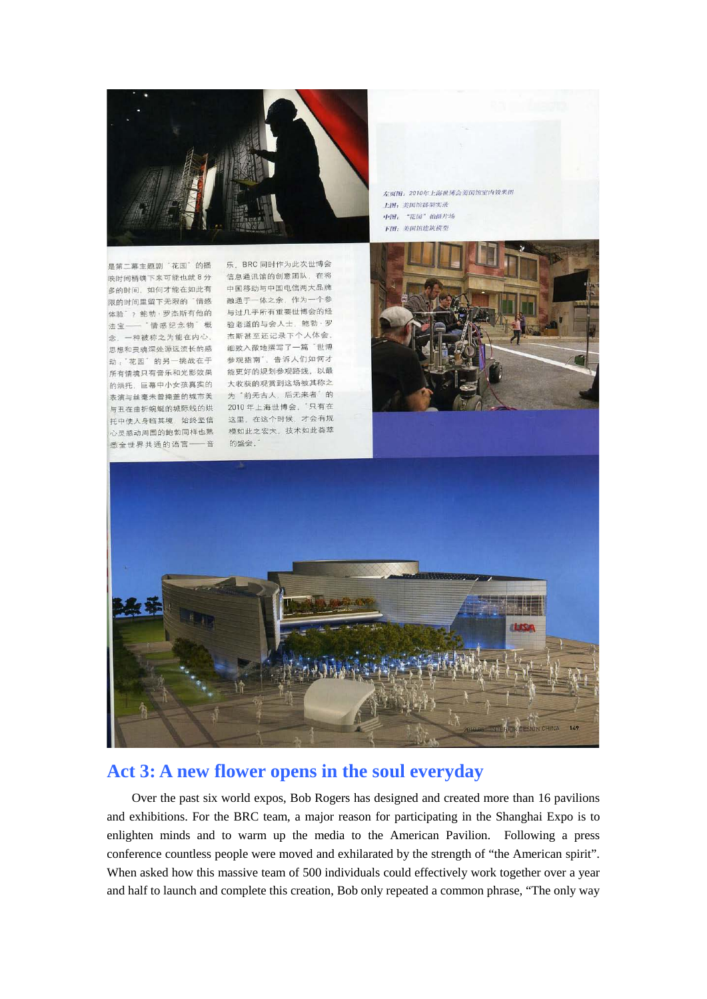

左页图: 2010年上海世博会美国馆室内效果图 1-194, 美国首体架实录 中图: "花园"拍摄片场 下图: 美国馆建筑模型

是第二幕主题剧'花园'的播 映时间精确下来可能也就8分 信息通讯馆的创意团队,在将 多的时间, 如何才能在如此有 中国移动与中国电信两大品牌 体验 / 能初 · 夕然别有他的 与过九 ,所有主义已将云……<br>法宝—— "情感纪念物"概 验老道的与会人士,鲍勃 · 罗 念, 一种被称之为能在内心, 杰斯甚至还记录下个人体会, 思想和灵魂深处源远流长的感 细致入微地撰写了一篇 世博 悉全世界共通的语言——音 的盛会,

年 BRC 同时作为此次世博会 多的时间,如同为能让如此日<br>|限的时间里留下无限的「情感」||融通于一体之余,作为一个参<br>|体验゛? 鲍勃 · 罗杰斯有他的 与过几乎所有重要世博会的经 心恐怕火魂不足感之流已死。 <br>动,"花园"的另一挑战在于 参观指南<sup>"</sup>,告诉人们如何才<br>所有情境只有音乐和光影效果 能更好的规划参观路线,以最 的烘托, 巨幕中小女孩真实的 大收获的观赏到这场被其称之 表演与丝毫未曾掩盖的城市美 为'前无古人,后无来者'的 与丑在曲折蜿蜒的城际线的烘 2010年上海世博会, 只有在 -<br>托中使人身临其境,始终坚信 这里,在这个时候,才会有规<br>心灵感动周围的鲍勃同样也熟 模如此之宏大,技术如此荟萃 这里, 在这个时候, 才会有规





### **Act 3: A new flower opens in the soul everyday**

Over the past six world expos, Bob Rogers has designed and created more than 16 pavilions and exhibitions. For the BRC team, a major reason for participating in the Shanghai Expo is to enlighten minds and to warm up the media to the American Pavilion. Following a press conference countless people were moved and exhilarated by the strength of "the American spirit". When asked how this massive team of 500 individuals could effectively work together over a year and half to launch and complete this creation, Bob only repeated a common phrase, "The only way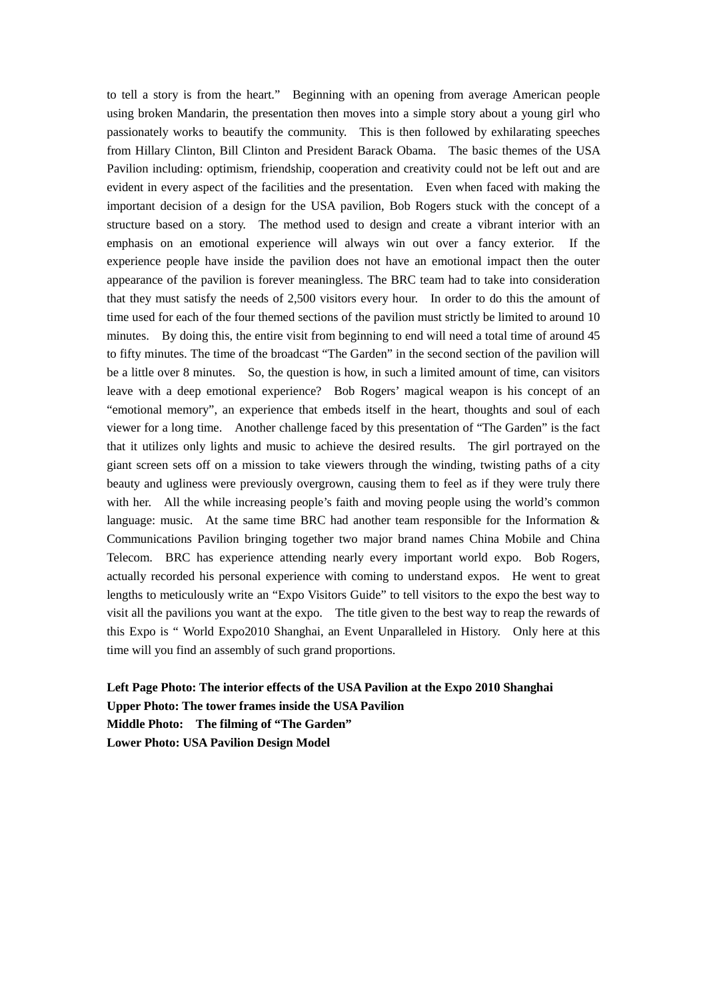to tell a story is from the heart." Beginning with an opening from average American people using broken Mandarin, the presentation then moves into a simple story about a young girl who passionately works to beautify the community. This is then followed by exhilarating speeches from Hillary Clinton, Bill Clinton and President Barack Obama. The basic themes of the USA Pavilion including: optimism, friendship, cooperation and creativity could not be left out and are evident in every aspect of the facilities and the presentation. Even when faced with making the important decision of a design for the USA pavilion, Bob Rogers stuck with the concept of a structure based on a story. The method used to design and create a vibrant interior with an emphasis on an emotional experience will always win out over a fancy exterior. If the experience people have inside the pavilion does not have an emotional impact then the outer appearance of the pavilion is forever meaningless. The BRC team had to take into consideration that they must satisfy the needs of 2,500 visitors every hour. In order to do this the amount of time used for each of the four themed sections of the pavilion must strictly be limited to around 10 minutes. By doing this, the entire visit from beginning to end will need a total time of around 45 to fifty minutes. The time of the broadcast "The Garden" in the second section of the pavilion will be a little over 8 minutes. So, the question is how, in such a limited amount of time, can visitors leave with a deep emotional experience? Bob Rogers' magical weapon is his concept of an "emotional memory", an experience that embeds itself in the heart, thoughts and soul of each viewer for a long time. Another challenge faced by this presentation of "The Garden" is the fact that it utilizes only lights and music to achieve the desired results. The girl portrayed on the giant screen sets off on a mission to take viewers through the winding, twisting paths of a city beauty and ugliness were previously overgrown, causing them to feel as if they were truly there with her. All the while increasing people's faith and moving people using the world's common language: music. At the same time BRC had another team responsible for the Information & Communications Pavilion bringing together two major brand names China Mobile and China Telecom. BRC has experience attending nearly every important world expo. Bob Rogers, actually recorded his personal experience with coming to understand expos. He went to great lengths to meticulously write an "Expo Visitors Guide" to tell visitors to the expo the best way to visit all the pavilions you want at the expo. The title given to the best way to reap the rewards of this Expo is " World Expo2010 Shanghai, an Event Unparalleled in History. Only here at this time will you find an assembly of such grand proportions.

#### **Left Page Photo: The interior effects of the USA Pavilion at the Expo 2010 Shanghai Upper Photo: The tower frames inside the USA Pavilion Middle Photo: The filming of "The Garden" Lower Photo: USA Pavilion Design Model**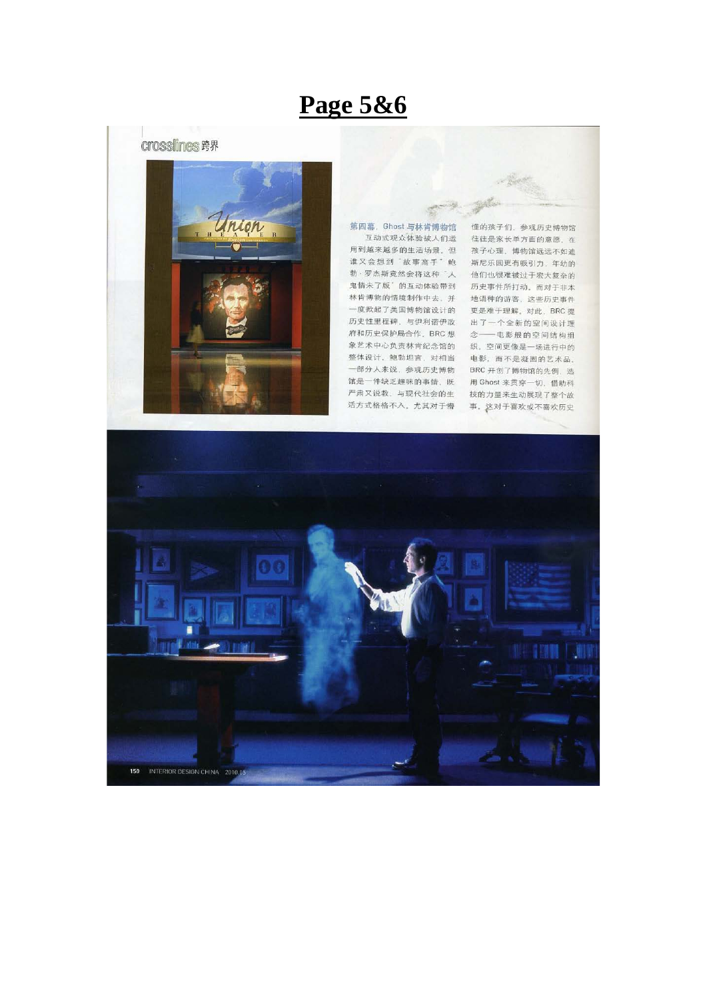# **Page 5&6**

#### **Crosslines 跨界**



第四幕, Ghost 与林肯博物馆 互动式观众体验被人们运 用到越来越多的生活场景、但 谁又会想到'故事高手'鲍 勃·罗杰斯竟然会将这种'人 鬼情未了版"的互动体验带到 林肯博物的情境制作中去, 并 地语种的游客, 这些历史事件 一度掀起了美国博物馆设计的 历史性里程碑、与伊利诺伊政 府和历史保护局合作, BRC 想 象艺术中心负责林肯纪念馆的 整体设计。鲍勃坦言,对相当 一部分人来说、参观历史博物 馆是一件缺乏趣味的事情, 既 用 Ghost 来贯穿一切, 借助科 严肃又说教、与现代社会的生 活方式格格不入。尤其对于懵

懂的孩子们, 参观历史博物馆 往往是家长单方面的意愿。在 孩子心理、博物馆远远不如迪 斯尼乐园更有吸引力、年幼的 他们也很难被过于宏大复杂的 历史事件所打动。而对于非本 更是难于理解。对此, BRC 提 出了一个全新的空间设计理 念––电影般的空间结构组 织。空间更像是一场进行中的 电影,而不是凝固的艺术品。 BRC 开创了博物馆的先例, 选 技的力量来生动展现了整个故 事。这对于喜欢或不喜欢历史

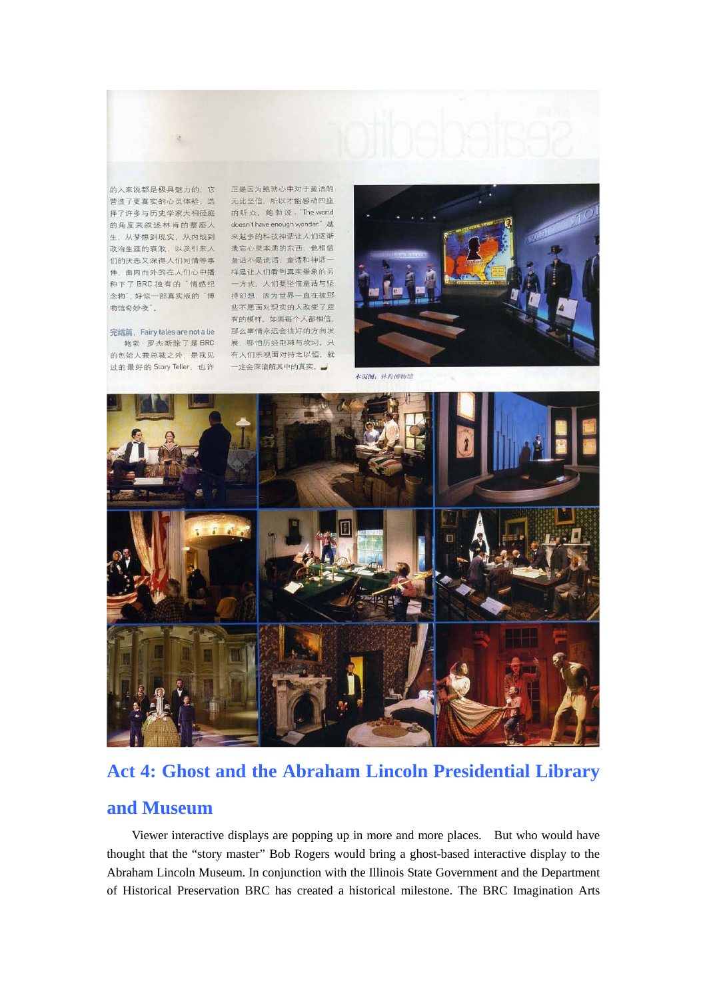

生, 从梦想到现实, 从内战到 来越多的科技神话让人们逐渐 政治生涯的衰败, 以及引来人 遗忘心灵本质的东西, 他相信 以泊王峰的表以、必久引木六 風心し久不成的亦旨、他也は<br>们的厌恶又深得人们同情等事 童话不是谎话,童话和神话一<br>件,由内而外的在人们心中播 样是让人们看到真实景象的另 们的厌恶又深得人们同情等事 种下了 BRC 独有的"情感纪——一方式。人们要坚信童话与坚 物馆奇妙夜"。

的创始人兼总裁之外, 是我见 有人们乐观面对持之以恒, 就 过的最好的 Story Teller, 也许

的人来说都是极具魅力的,它 正是因为鲍勃心中对于童话的 的人不成的定权共感力的,它 正是凶为忠动心中对于属的的<br>营造了更真实的心灵体验,选 无比坚信,所以才能感动四座<br>择了许多与历史学家大相径庭 的听众。鲍勃说,The world<br>的角度来叙述林肯的整座人 doesn't have enough wonder." 越 念物",好似一部真实版的"博 持幻想,因为世界一直在被那 些不愿面对现实的人改变了应 有的模样。如果每个人都相信, 完结篇, Fairy tales are not a lie 那么事情永远会往好的方向发 鲍勃·罗杰斯除了是BRC 展,哪怕历经荆棘与坎坷。只 一定会深谙解其中的真实。



本页图:林肯博物馆



### **Act 4: Ghost and the Abraham Lincoln Presidential Library**

### **and Museum**

Viewer interactive displays are popping up in more and more places. But who would have thought that the "story master" Bob Rogers would bring a ghost-based interactive display to the Abraham Lincoln Museum. In conjunction with the Illinois State Government and the Department of Historical Preservation BRC has created a historical milestone. The BRC Imagination Arts